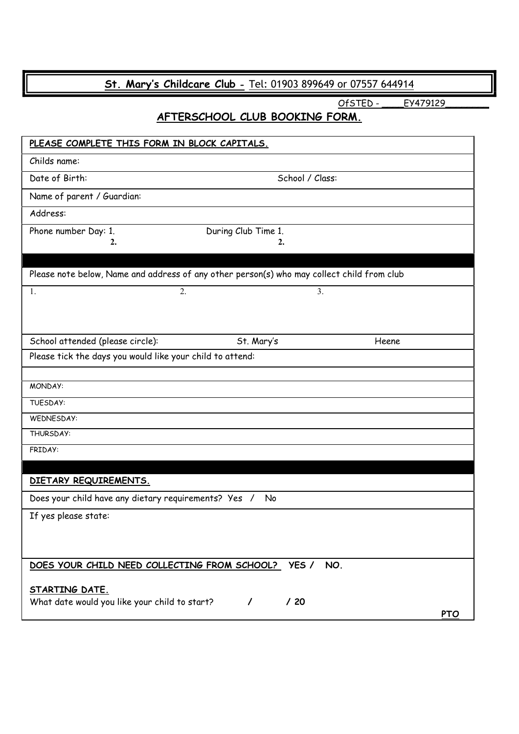# St. Mary's Childcare Club - Tel: 01903 899649 or 07557 644914

OfSTED - \_\_\_\_\_ EY479129

## AFTERSCHOOL CLUB BOOKING FORM.

| PLEASE COMPLETE THIS FORM IN BLOCK CAPITALS.                                               |                     |                 |            |
|--------------------------------------------------------------------------------------------|---------------------|-----------------|------------|
| Childs name:                                                                               |                     |                 |            |
| Date of Birth:                                                                             |                     | School / Class: |            |
| Name of parent / Guardian:                                                                 |                     |                 |            |
| Address:                                                                                   |                     |                 |            |
| Phone number Day: 1.                                                                       | During Club Time 1. |                 |            |
| 2.                                                                                         | 2.                  |                 |            |
|                                                                                            |                     |                 |            |
| Please note below, Name and address of any other person(s) who may collect child from club |                     |                 |            |
| 1.                                                                                         | 2.                  | 3.              |            |
|                                                                                            |                     |                 |            |
|                                                                                            |                     |                 |            |
| School attended (please circle):                                                           | St. Mary's          | Heene           |            |
| Please tick the days you would like your child to attend:                                  |                     |                 |            |
| MONDAY:                                                                                    |                     |                 |            |
| TUESDAY:                                                                                   |                     |                 |            |
| WEDNESDAY:                                                                                 |                     |                 |            |
| THURSDAY:                                                                                  |                     |                 |            |
| FRIDAY:                                                                                    |                     |                 |            |
|                                                                                            |                     |                 |            |
| DIETARY REQUIREMENTS.                                                                      |                     |                 |            |
| Does your child have any dietary requirements? Yes /                                       | No                  |                 |            |
| If yes please state:                                                                       |                     |                 |            |
|                                                                                            |                     |                 |            |
|                                                                                            |                     |                 |            |
| DOES YOUR CHILD NEED COLLECTING FROM SCHOOL? YES /                                         |                     | NO.             |            |
|                                                                                            |                     |                 |            |
| <u>STARTING DATE.</u><br>What date would you like your child to start?                     | $\prime$            | /20             |            |
|                                                                                            |                     |                 | <b>PTO</b> |